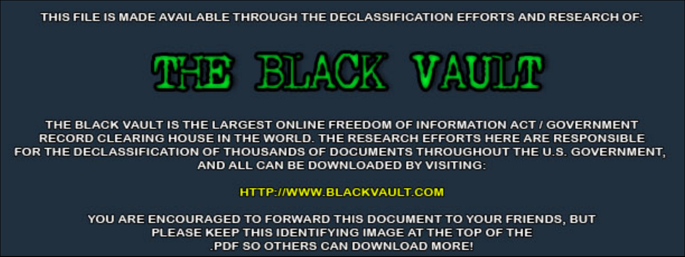THIS FILE IS MADE AVAILABLE THROUGH THE DECLASSIFICATION EFFORTS AND RESEARCH OF:



THE BLACK VAULT IS THE LARGEST ONLINE FREEDOM OF INFORMATION ACT / GOVERNMENT RECORD CLEARING HOUSE IN THE WORLD. THE RESEARCH EFFORTS HERE ARE RESPONSIBLE FOR THE DECLASSIFICATION OF THOUSANDS OF DOCUMENTS THROUGHOUT THE U.S. GOVERNMENT, AND ALL CAN BE DOWNLOADED BY VISITING:

**HTTP://WWW.BLACKVAULT.COM** 

YOU ARE ENCOURAGED TO FORWARD THIS DOCUMENT TO YOUR FRIENDS, BUT PLEASE KEEP THIS IDENTIFYING IMAGE AT THE TOP OF THE PDF SO OTHERS CAN DOWNLOAD MORE!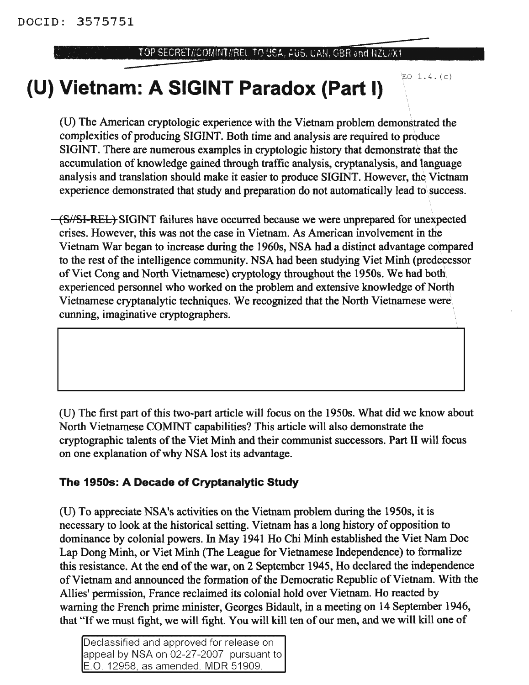#### TOP SECRET//COMINT//REL TO USA. AUS. CAN. GBR and NZL//X1

 $EO$  1.4. $(c)$ 

# **(U) Vietnam: A SIGINT Paradox (Part I)**

(U) The American cryptologic experience with the Vietnam problem demonstrated the complexities of producing SIGINT. Both time and analysis are required to produce SIGINT. There are numerous examples in cryptologic history that demonstrate that the accumulation of knowledge gained through traffic analysis, cryptanalysis, and language analysis and translation should make it easier to produce SIGINT. However, the Vietnam experience demonstrated that study and preparation do not automatically lead to success.

(S//SI-REL) SIGINT failures have occurred because we were unprepared for unexpected crises. However, this was not the case in Vietnam. As American involvement in the Vietnam War began to increase during the 1960s, NSA had a distinct advantage compared to the rest of the intelligence community. NSA had been studying Viet Minh (predecessor of Viet Cong and North Vietnamese) cryptology throughout the 1950s. We had both experienced personnel who worked on the problem and extensive knowledge of North Vietnamese cryptanalytic techniques. We recognized that the North Vietnamese were cunning, imaginative cryptographers.

(U) The first part of this two-part article will focus on the 1950s. What did we know about North Vietnamese COMINT capabilities? This article will also demonstrate the cryptographic talents of the Viet Minh and their communist successors. Part II will focus on one explanation ofwhy NSA lost its advantage.

### **The 1950s: A Decade of Cryptanalytic StUdy**

(D) To appreciate NSA's activities on the Vietnam problem during the 1950s, it is necessary to look at the historical setting. Vietnam has a long history of opposition to dominance by colonial powers. In May 1941 Ho Chi Minh established the Viet Nam Doc Lap Dong Minh, or Viet Minh (The League for Vietnamese Independence) to fonnalize this resistance. At the end of the war, on 2 September 1945, Ho declared the independence ofVietnam and announced the fonnation ofthe Democratic Republic of Vietnam. With the Allies' permission, France reclaimed its colonial hold over Vietnam. Ho reacted by warning the French prime minister, Georges Bidault, in a meeting on 14 September 1946, that "If we must fight, we will fight. You will kill ten of our men, and we will kill one of

Declassified and approved for release on appeal by NSA on 02-27-2007 pursuant to E.O. 12958. as amended. MDR 51909.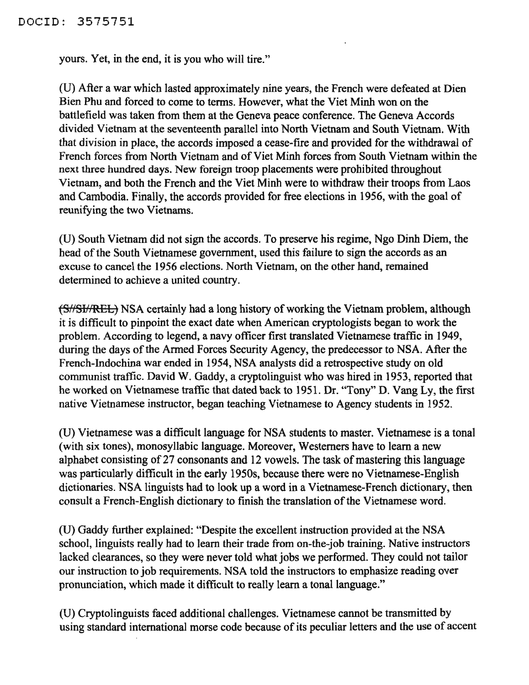### DOCID: 3575751

yours. Yet, in the end, it is you who will tire."

(U) After a war which lasted approximately nine years, the French were defeated at Dien Bien Phu and forced to come to terms. However, what the Viet Minh won on the battlefield was taken from them at the Geneva peace conference. The Geneva Accords divided Vietnam at the seventeenth parallel into North Vietnam and South Vietnam. With that division in place, the accords imposed a cease-fire and provided for the withdrawal of French forces from North Vietnam and of Viet Minh forces from South Vietnam within the next three hundred days. New foreign troop placements were prohibited throughout Vietnam, and both the French and the Viet Minh were to withdraw their troops from Laos and Cambodia. Finally, the accords provided for free elections in 1956, with the goal of reunifying the two Vietnams.

(U) South Vietnam did not sign the accords. To preserve his regime, Ngo Dinh Diem, the head of the South Vietnamese government, used this failure to sign the accords as an excuse to cancel the 1956 elections. North Vietnam, on the other hand, remained determined to achieve a united country.

(S//SI/REL) NSA certainly had a long history of working the Vietnam problem, although it is difficult to pinpoint the exact date when American cryptologists began to work the problem. According to legend, a navy officer first translated Vietnamese traffic in 1949, during the days of the Armed Forces Security Agency, the predecessor to NSA. After the French-Indochina war ended in 1954, NSA analysts did a retrospective study on old communist traffic. David W. Gaddy, a cryptolinguist who was hired in 1953, reported that he worked on Vietnamese traffic that dated back to 1951. Dr. "Tony" D. Vang Ly, the first native Vietnamese instructor, began teaching Vietnamese to Agency students in 1952.

(U) Vietnamese was a difficult language for NSA students to master. Vietnamese is a tonal (with six tones), monosyllabic language. Moreover, Westerners have to learn a new alphabet consisting of 27 consonants and 12 vowels. The task of mastering this language was particularly difficult in the early 1950s, because there were no Vietnamese-English dictionaries. NSA linguists had to look up a word in a Vietnamese-French dictionary, then consult a French-English dictionary to finish the translation of the Vietnamese word.

(U) Gaddy further explained: "Despite the excellent instruction provided at the NSA school, linguists really had to learn their trade from on-the-job training. Native instructors lacked clearances, so they were never told what jobs we performed. They could not tailor our instruction to job requirements. NSA told the instructors to emphasize reading over pronunciation, which made it difficult to really learn a tonal language."

(U) Cryptolinguists faced additional challenges. Vietnamese cannot be transmitted by using standard international morse code because of its peculiar letters and the use of accent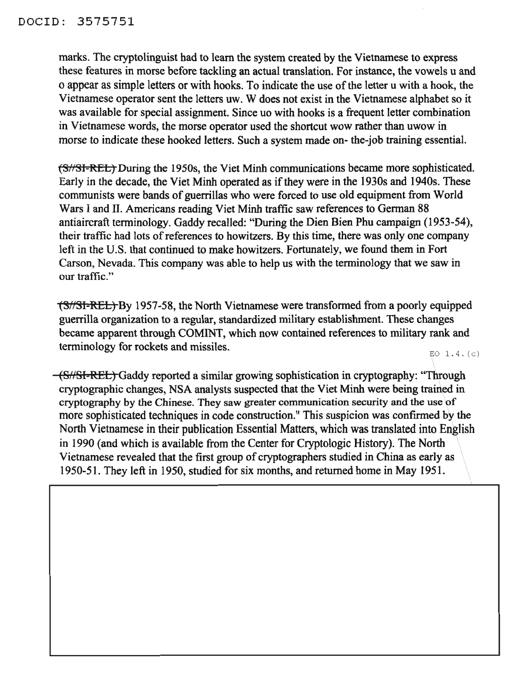marks. The cryptolinguist had to learn the system created by the Vietnamese to express these features in morse before tackling an actual translation. For instance, the vowels u and o appear as simple letters or with hooks. To indicate the use ofthe letter u with a hook, the Vietnamese operator sent the letters uw. W does not exist in the Vietnamese alphabet so it was available for special assignment. Since uo with hooks is a frequent letter combination in Vietnamese words, the morse operator used the shortcut wow rather than uwow in morse to indicate these hooked letters. Such a system made on- the-job training essential.

(S//SI-REL) During the 1950s, the Viet Minh communications became more sophisticated. Early in the decade, the Viet Minh operated as if they were in the 1930s and 1940s. These communists were bands of guerrillas who were forced to use old equipment from World Wars I and II. Americans reading Viet Minh traffic saw references to German 88 antiaircraft terminology. Gaddy recalled: "During the Dien Bien Phu campaign (1953-54), their traffic had lots of references to howitzers. By this time, there was only one company left in the U.S. that continued to make howitzers. Fortunately, we found them in Fort Carson, Nevada. This company was able to help us with the terminology that we saw in our traffic."

(S//SI-REL) By 1957-58, the North Vietnamese were transformed from a poorly equipped guerrilla organization to a regular, standardized military establishment. These changes became apparent through COMINT, which now contained references to military rank and terminology for rockets and missiles.

 $EO$  1.4. $(c)$ 

(S/fSI-REL) Gaddy reported a similar growing sophistication in cryptography: "Through cryptographic changes, NSA analysts suspected that the Viet Minh were being trained in cryptography by the Chinese. They saw greater communication security and the use of more sophisticated techniques in code construction." This suspicion was confirmed by the North Vietnamese in their publication Essential Matters, which was translated into English in 1990 (and which is available from the Center for Cryptologic History). The North Vietnamese revealed that the first group of cryptographers studied in China as early as 1950-51. They left in 1950, studied for six months, and returned home in May 1951.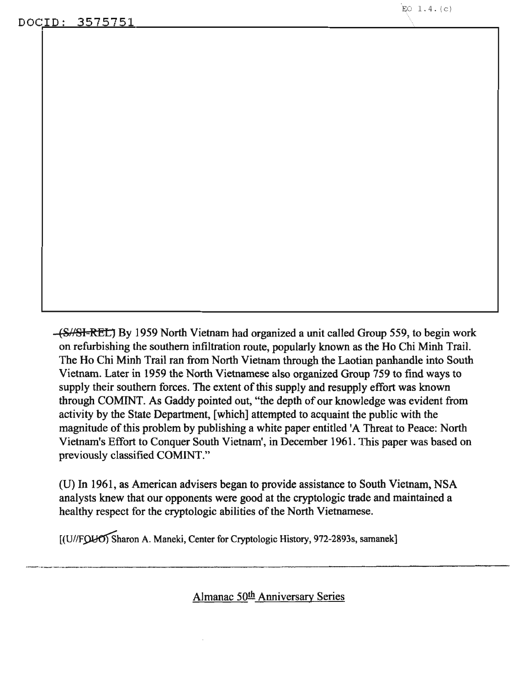(S//SI-REI:) By 1959 North Vietnam had organized a unit called Group 559, to begin work on refurbishing the southern infiltration route, popularly known as the Ho Chi Minh Trail. The Ho Chi Minh Trail ran from North Vietnam through the Laotian panhandle into South Vietnam. Later in 1959 the North Vietnamese also organized Group 759 to find ways to supply their southern forces. The extent of this supply and resupply effort was known through COMINT. As Gaddy pointed out, "the depth of our knowledge was evident from activity by the State Department, [which] attempted to acquaint the public with the magnitude of this problem by publishing a white paper entitled 'A Threat to Peace: North Vietnam's Effort to Conquer South Vietnam', in December 1961. This paper was based on previously classified COMINT."

(U) In 1961, as American advisers began to provide assistance to South Vietnam, NSA analysts knew that our opponents were good at the cryptologic trade and maintained a healthy respect for the cryptologic abilities of the North Vietnamese.

[(U//FQUO) Sharon A. Maneki, Center for Cryptologic History, 972-2893s, samanek]

Almanac 50th Anniversary Series